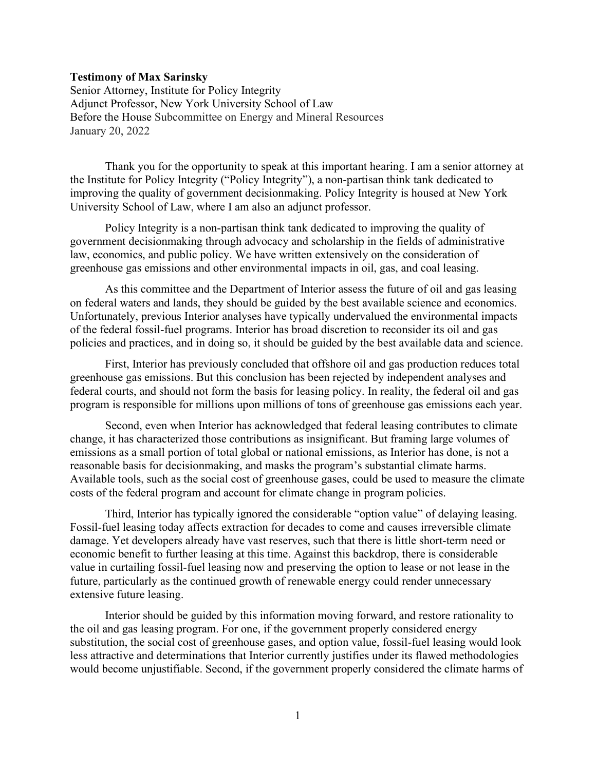#### Testimony of Max Sarinsky

Senior Attorney, Institute for Policy Integrity Adjunct Professor, New York University School of Law Before the House Subcommittee on Energy and Mineral Resources January 20, 2022

 Thank you for the opportunity to speak at this important hearing. I am a senior attorney at the Institute for Policy Integrity ("Policy Integrity"), a non-partisan think tank dedicated to improving the quality of government decisionmaking. Policy Integrity is housed at New York University School of Law, where I am also an adjunct professor.

Policy Integrity is a non-partisan think tank dedicated to improving the quality of government decisionmaking through advocacy and scholarship in the fields of administrative law, economics, and public policy. We have written extensively on the consideration of greenhouse gas emissions and other environmental impacts in oil, gas, and coal leasing.

 As this committee and the Department of Interior assess the future of oil and gas leasing on federal waters and lands, they should be guided by the best available science and economics. Unfortunately, previous Interior analyses have typically undervalued the environmental impacts of the federal fossil-fuel programs. Interior has broad discretion to reconsider its oil and gas policies and practices, and in doing so, it should be guided by the best available data and science.

 First, Interior has previously concluded that offshore oil and gas production reduces total greenhouse gas emissions. But this conclusion has been rejected by independent analyses and federal courts, and should not form the basis for leasing policy. In reality, the federal oil and gas program is responsible for millions upon millions of tons of greenhouse gas emissions each year.

 Second, even when Interior has acknowledged that federal leasing contributes to climate change, it has characterized those contributions as insignificant. But framing large volumes of emissions as a small portion of total global or national emissions, as Interior has done, is not a reasonable basis for decisionmaking, and masks the program's substantial climate harms. Available tools, such as the social cost of greenhouse gases, could be used to measure the climate costs of the federal program and account for climate change in program policies.

 Third, Interior has typically ignored the considerable "option value" of delaying leasing. Fossil-fuel leasing today affects extraction for decades to come and causes irreversible climate damage. Yet developers already have vast reserves, such that there is little short-term need or economic benefit to further leasing at this time. Against this backdrop, there is considerable value in curtailing fossil-fuel leasing now and preserving the option to lease or not lease in the future, particularly as the continued growth of renewable energy could render unnecessary extensive future leasing.

Interior should be guided by this information moving forward, and restore rationality to the oil and gas leasing program. For one, if the government properly considered energy substitution, the social cost of greenhouse gases, and option value, fossil-fuel leasing would look less attractive and determinations that Interior currently justifies under its flawed methodologies would become unjustifiable. Second, if the government properly considered the climate harms of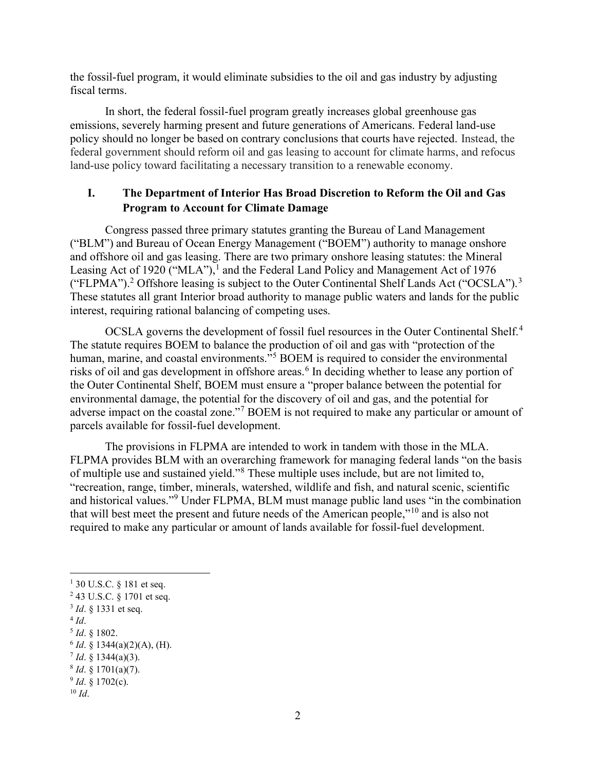the fossil-fuel program, it would eliminate subsidies to the oil and gas industry by adjusting fiscal terms.

In short, the federal fossil-fuel program greatly increases global greenhouse gas emissions, severely harming present and future generations of Americans. Federal land-use policy should no longer be based on contrary conclusions that courts have rejected. Instead, the federal government should reform oil and gas leasing to account for climate harms, and refocus land-use policy toward facilitating a necessary transition to a renewable economy.

# I. The Department of Interior Has Broad Discretion to Reform the Oil and Gas Program to Account for Climate Damage

 Congress passed three primary statutes granting the Bureau of Land Management ("BLM") and Bureau of Ocean Energy Management ("BOEM") authority to manage onshore and offshore oil and gas leasing. There are two primary onshore leasing statutes: the Mineral Leasing Act of 1920 ("MLA"),<sup>1</sup> and the Federal Land Policy and Management Act of 1976 ("FLPMA").<sup>2</sup> Offshore leasing is subject to the Outer Continental Shelf Lands Act ("OCSLA").<sup>3</sup> These statutes all grant Interior broad authority to manage public waters and lands for the public interest, requiring rational balancing of competing uses.

OCSLA governs the development of fossil fuel resources in the Outer Continental Shelf.<sup>4</sup> The statute requires BOEM to balance the production of oil and gas with "protection of the human, marine, and coastal environments."<sup>5</sup> BOEM is required to consider the environmental risks of oil and gas development in offshore areas.<sup>6</sup> In deciding whether to lease any portion of the Outer Continental Shelf, BOEM must ensure a "proper balance between the potential for environmental damage, the potential for the discovery of oil and gas, and the potential for adverse impact on the coastal zone."<sup>7</sup> BOEM is not required to make any particular or amount of parcels available for fossil-fuel development.

The provisions in FLPMA are intended to work in tandem with those in the MLA. FLPMA provides BLM with an overarching framework for managing federal lands "on the basis of multiple use and sustained yield."<sup>8</sup> These multiple uses include, but are not limited to, "recreation, range, timber, minerals, watershed, wildlife and fish, and natural scenic, scientific and historical values."<sup>9</sup> Under FLPMA, BLM must manage public land uses "in the combination that will best meet the present and future needs of the American people,"<sup>10</sup> and is also not required to make any particular or amount of lands available for fossil-fuel development.

 $1\,30$  U.S.C. § 181 et seq.

<sup>&</sup>lt;sup>2</sup> 43 U.S.C. § 1701 et seq.

 $3$  *Id.*  $\S$  1331 et seq.

 $4$  Id.

 $5$  *Id.* § 1802.

 $6$  *Id.* § 1344(a)(2)(A), (H).

 $^7$  *Id.* § 1344(a)(3).

 $8$  *Id.* § 1701(a)(7).

 $9$  *Id.* § 1702(c).

 $10$  Id.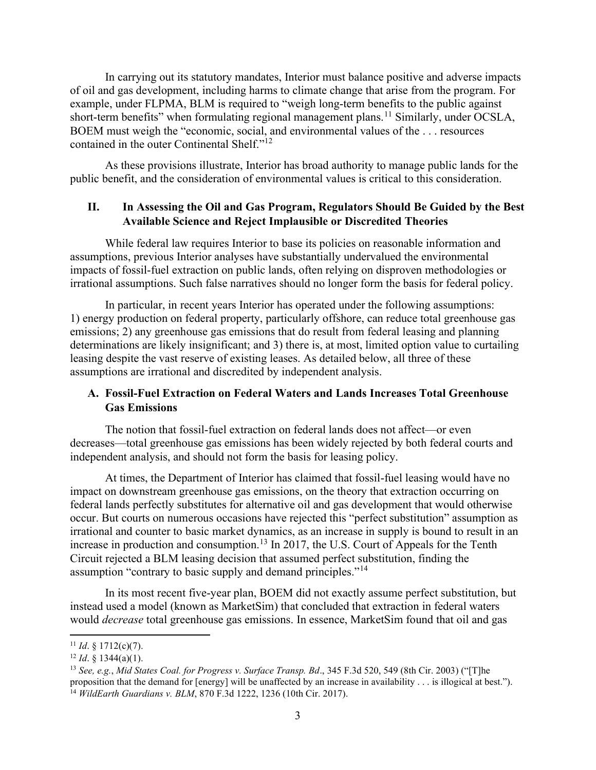In carrying out its statutory mandates, Interior must balance positive and adverse impacts of oil and gas development, including harms to climate change that arise from the program. For example, under FLPMA, BLM is required to "weigh long-term benefits to the public against short-term benefits" when formulating regional management plans.<sup>11</sup> Similarly, under OCSLA, BOEM must weigh the "economic, social, and environmental values of the . . . resources contained in the outer Continental Shelf."<sup>12</sup>

As these provisions illustrate, Interior has broad authority to manage public lands for the public benefit, and the consideration of environmental values is critical to this consideration.

### II. In Assessing the Oil and Gas Program, Regulators Should Be Guided by the Best Available Science and Reject Implausible or Discredited Theories

 While federal law requires Interior to base its policies on reasonable information and assumptions, previous Interior analyses have substantially undervalued the environmental impacts of fossil-fuel extraction on public lands, often relying on disproven methodologies or irrational assumptions. Such false narratives should no longer form the basis for federal policy.

 In particular, in recent years Interior has operated under the following assumptions: 1) energy production on federal property, particularly offshore, can reduce total greenhouse gas emissions; 2) any greenhouse gas emissions that do result from federal leasing and planning determinations are likely insignificant; and 3) there is, at most, limited option value to curtailing leasing despite the vast reserve of existing leases. As detailed below, all three of these assumptions are irrational and discredited by independent analysis.

## A. Fossil-Fuel Extraction on Federal Waters and Lands Increases Total Greenhouse Gas Emissions

The notion that fossil-fuel extraction on federal lands does not affect—or even decreases—total greenhouse gas emissions has been widely rejected by both federal courts and independent analysis, and should not form the basis for leasing policy.

At times, the Department of Interior has claimed that fossil-fuel leasing would have no impact on downstream greenhouse gas emissions, on the theory that extraction occurring on federal lands perfectly substitutes for alternative oil and gas development that would otherwise occur. But courts on numerous occasions have rejected this "perfect substitution" assumption as irrational and counter to basic market dynamics, as an increase in supply is bound to result in an increase in production and consumption.<sup>13</sup> In 2017, the U.S. Court of Appeals for the Tenth Circuit rejected a BLM leasing decision that assumed perfect substitution, finding the assumption "contrary to basic supply and demand principles."<sup>14</sup>

In its most recent five-year plan, BOEM did not exactly assume perfect substitution, but instead used a model (known as MarketSim) that concluded that extraction in federal waters would *decrease* total greenhouse gas emissions. In essence, MarketSim found that oil and gas

<sup>&</sup>lt;sup>11</sup> *Id.* § 1712(c)(7).

 $12$  *Id.* § 1344(a)(1).

<sup>&</sup>lt;sup>13</sup> See, e.g., Mid States Coal. for Progress v. Surface Transp. Bd., 345 F.3d 520, 549 (8th Cir. 2003) ("[T]he proposition that the demand for [energy] will be unaffected by an increase in availability . . . is illogical at best."). <sup>14</sup> WildEarth Guardians v. BLM, 870 F.3d 1222, 1236 (10th Cir. 2017).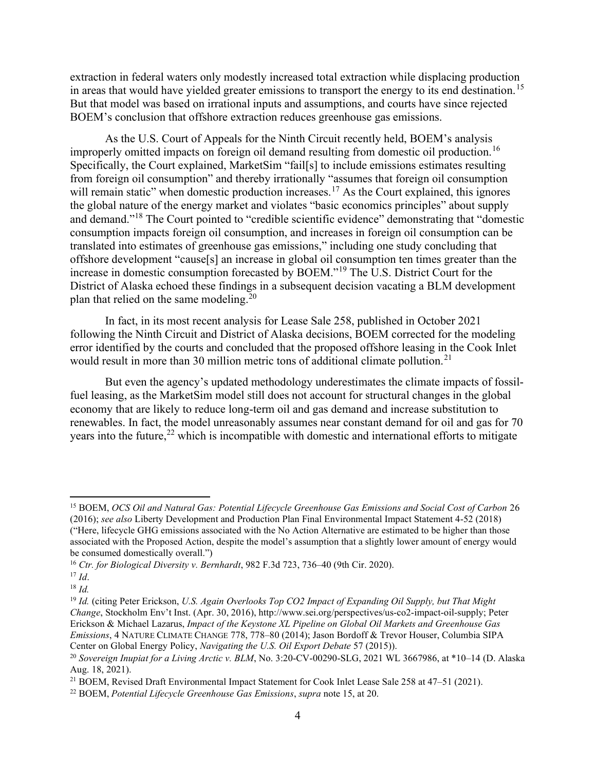extraction in federal waters only modestly increased total extraction while displacing production in areas that would have yielded greater emissions to transport the energy to its end destination.<sup>15</sup> But that model was based on irrational inputs and assumptions, and courts have since rejected BOEM's conclusion that offshore extraction reduces greenhouse gas emissions.

As the U.S. Court of Appeals for the Ninth Circuit recently held, BOEM's analysis improperly omitted impacts on foreign oil demand resulting from domestic oil production.<sup>16</sup> Specifically, the Court explained, MarketSim "fail[s] to include emissions estimates resulting from foreign oil consumption" and thereby irrationally "assumes that foreign oil consumption will remain static" when domestic production increases.<sup>17</sup> As the Court explained, this ignores the global nature of the energy market and violates "basic economics principles" about supply and demand."<sup>18</sup> The Court pointed to "credible scientific evidence" demonstrating that "domestic consumption impacts foreign oil consumption, and increases in foreign oil consumption can be translated into estimates of greenhouse gas emissions," including one study concluding that offshore development "cause[s] an increase in global oil consumption ten times greater than the increase in domestic consumption forecasted by BOEM."<sup>19</sup> The U.S. District Court for the District of Alaska echoed these findings in a subsequent decision vacating a BLM development plan that relied on the same modeling.<sup>20</sup>

In fact, in its most recent analysis for Lease Sale 258, published in October 2021 following the Ninth Circuit and District of Alaska decisions, BOEM corrected for the modeling error identified by the courts and concluded that the proposed offshore leasing in the Cook Inlet would result in more than 30 million metric tons of additional climate pollution.<sup>21</sup>

But even the agency's updated methodology underestimates the climate impacts of fossilfuel leasing, as the MarketSim model still does not account for structural changes in the global economy that are likely to reduce long-term oil and gas demand and increase substitution to renewables. In fact, the model unreasonably assumes near constant demand for oil and gas for 70 years into the future, $22$  which is incompatible with domestic and international efforts to mitigate

<sup>15</sup> BOEM, OCS Oil and Natural Gas: Potential Lifecycle Greenhouse Gas Emissions and Social Cost of Carbon 26 (2016); see also Liberty Development and Production Plan Final Environmental Impact Statement 4-52 (2018) ("Here, lifecycle GHG emissions associated with the No Action Alternative are estimated to be higher than those associated with the Proposed Action, despite the model's assumption that a slightly lower amount of energy would be consumed domestically overall.")

 $16$  Ctr. for Biological Diversity v. Bernhardt, 982 F.3d 723, 736–40 (9th Cir. 2020).

 $^{17}$  *Id.* 

 $18$  *Id.* 

 $19$  Id. (citing Peter Erickson, U.S. Again Overlooks Top CO2 Impact of Expanding Oil Supply, but That Might Change, Stockholm Env't Inst. (Apr. 30, 2016), http://www.sei.org/perspectives/us-co2-impact-oil-supply; Peter Erickson & Michael Lazarus, Impact of the Keystone XL Pipeline on Global Oil Markets and Greenhouse Gas Emissions, 4 NATURE CLIMATE CHANGE 778, 778–80 (2014); Jason Bordoff & Trevor Houser, Columbia SIPA Center on Global Energy Policy, Navigating the U.S. Oil Export Debate 57 (2015)).

<sup>&</sup>lt;sup>20</sup> Sovereign Inupiat for a Living Arctic v. BLM, No. 3:20-CV-00290-SLG, 2021 WL 3667986, at \*10-14 (D. Alaska Aug. 18, 2021).

<sup>&</sup>lt;sup>21</sup> BOEM, Revised Draft Environmental Impact Statement for Cook Inlet Lease Sale 258 at 47–51 (2021).

 $22$  BOEM, Potential Lifecycle Greenhouse Gas Emissions, supra note 15, at 20.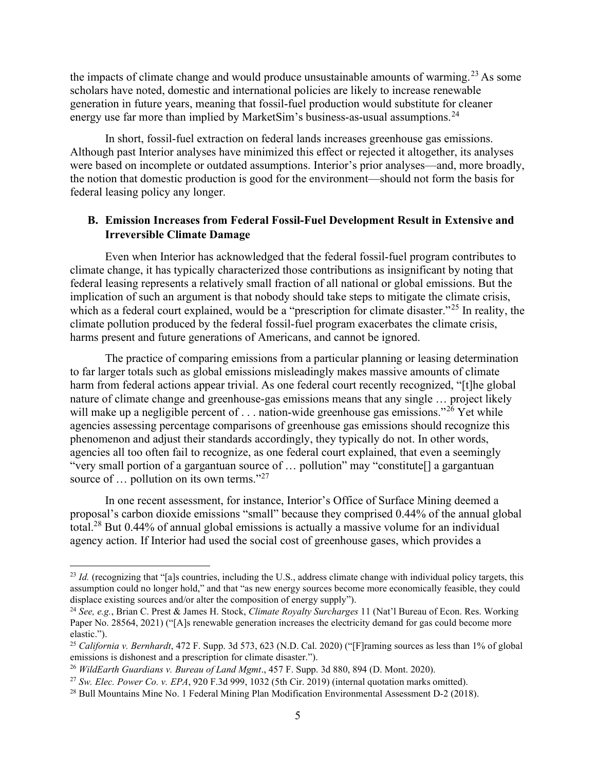the impacts of climate change and would produce unsustainable amounts of warming.<sup>23</sup> As some scholars have noted, domestic and international policies are likely to increase renewable generation in future years, meaning that fossil-fuel production would substitute for cleaner energy use far more than implied by MarketSim's business-as-usual assumptions.<sup>24</sup>

In short, fossil-fuel extraction on federal lands increases greenhouse gas emissions. Although past Interior analyses have minimized this effect or rejected it altogether, its analyses were based on incomplete or outdated assumptions. Interior's prior analyses—and, more broadly, the notion that domestic production is good for the environment—should not form the basis for federal leasing policy any longer.

## B. Emission Increases from Federal Fossil-Fuel Development Result in Extensive and Irreversible Climate Damage

Even when Interior has acknowledged that the federal fossil-fuel program contributes to climate change, it has typically characterized those contributions as insignificant by noting that federal leasing represents a relatively small fraction of all national or global emissions. But the implication of such an argument is that nobody should take steps to mitigate the climate crisis, which as a federal court explained, would be a "prescription for climate disaster."<sup>25</sup> In reality, the climate pollution produced by the federal fossil-fuel program exacerbates the climate crisis, harms present and future generations of Americans, and cannot be ignored.

The practice of comparing emissions from a particular planning or leasing determination to far larger totals such as global emissions misleadingly makes massive amounts of climate harm from federal actions appear trivial. As one federal court recently recognized, "[t]he global nature of climate change and greenhouse-gas emissions means that any single … project likely will make up a negligible percent of  $\dots$  nation-wide greenhouse gas emissions."<sup>26</sup> Yet while agencies assessing percentage comparisons of greenhouse gas emissions should recognize this phenomenon and adjust their standards accordingly, they typically do not. In other words, agencies all too often fail to recognize, as one federal court explained, that even a seemingly "very small portion of a gargantuan source of … pollution" may "constitute[] a gargantuan source of ... pollution on its own terms."<sup>27</sup>

In one recent assessment, for instance, Interior's Office of Surface Mining deemed a proposal's carbon dioxide emissions "small" because they comprised 0.44% of the annual global total.<sup>28</sup> But 0.44% of annual global emissions is actually a massive volume for an individual agency action. If Interior had used the social cost of greenhouse gases, which provides a

 $^{23}$  *Id.* (recognizing that "[a]s countries, including the U.S., address climate change with individual policy targets, this assumption could no longer hold," and that "as new energy sources become more economically feasible, they could displace existing sources and/or alter the composition of energy supply").

<sup>&</sup>lt;sup>24</sup> See, e.g., Brian C. Prest & James H. Stock, *Climate Royalty Surcharges* 11 (Nat'l Bureau of Econ. Res. Working Paper No. 28564, 2021) ("[A]s renewable generation increases the electricity demand for gas could become more elastic.").

<sup>&</sup>lt;sup>25</sup> California v. Bernhardt, 472 F. Supp. 3d 573, 623 (N.D. Cal. 2020) ("[F]raming sources as less than 1% of global emissions is dishonest and a prescription for climate disaster.").

<sup>&</sup>lt;sup>26</sup> WildEarth Guardians v. Bureau of Land Mgmt., 457 F. Supp. 3d 880, 894 (D. Mont. 2020).

<sup>&</sup>lt;sup>27</sup> Sw. Elec. Power Co. v. EPA, 920 F.3d 999, 1032 (5th Cir. 2019) (internal quotation marks omitted).

<sup>28</sup> Bull Mountains Mine No. 1 Federal Mining Plan Modification Environmental Assessment D-2 (2018).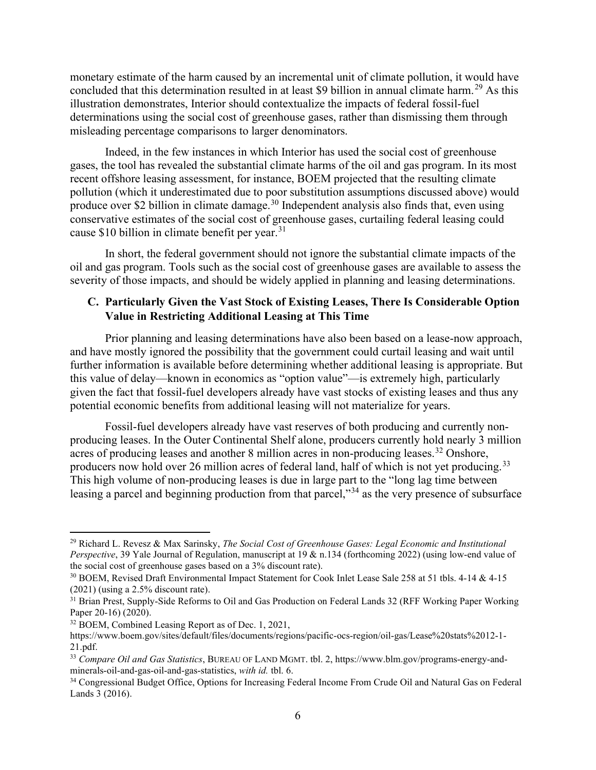monetary estimate of the harm caused by an incremental unit of climate pollution, it would have concluded that this determination resulted in at least \$9 billion in annual climate harm.<sup>29</sup> As this illustration demonstrates, Interior should contextualize the impacts of federal fossil-fuel determinations using the social cost of greenhouse gases, rather than dismissing them through misleading percentage comparisons to larger denominators.

Indeed, in the few instances in which Interior has used the social cost of greenhouse gases, the tool has revealed the substantial climate harms of the oil and gas program. In its most recent offshore leasing assessment, for instance, BOEM projected that the resulting climate pollution (which it underestimated due to poor substitution assumptions discussed above) would produce over \$2 billion in climate damage.<sup>30</sup> Independent analysis also finds that, even using conservative estimates of the social cost of greenhouse gases, curtailing federal leasing could cause \$10 billion in climate benefit per year.<sup>31</sup>

In short, the federal government should not ignore the substantial climate impacts of the oil and gas program. Tools such as the social cost of greenhouse gases are available to assess the severity of those impacts, and should be widely applied in planning and leasing determinations.

# C. Particularly Given the Vast Stock of Existing Leases, There Is Considerable Option Value in Restricting Additional Leasing at This Time

Prior planning and leasing determinations have also been based on a lease-now approach, and have mostly ignored the possibility that the government could curtail leasing and wait until further information is available before determining whether additional leasing is appropriate. But this value of delay—known in economics as "option value"—is extremely high, particularly given the fact that fossil-fuel developers already have vast stocks of existing leases and thus any potential economic benefits from additional leasing will not materialize for years.

Fossil-fuel developers already have vast reserves of both producing and currently nonproducing leases. In the Outer Continental Shelf alone, producers currently hold nearly 3 million acres of producing leases and another 8 million acres in non-producing leases.<sup>32</sup> Onshore, producers now hold over 26 million acres of federal land, half of which is not yet producing.<sup>33</sup> This high volume of non-producing leases is due in large part to the "long lag time between leasing a parcel and beginning production from that parcel,"<sup>34</sup> as the very presence of subsurface

<sup>32</sup> BOEM, Combined Leasing Report as of Dec. 1, 2021,

<sup>&</sup>lt;sup>29</sup> Richard L. Revesz & Max Sarinsky, *The Social Cost of Greenhouse Gases: Legal Economic and Institutional* Perspective, 39 Yale Journal of Regulation, manuscript at 19 & n.134 (forthcoming 2022) (using low-end value of the social cost of greenhouse gases based on a 3% discount rate).

<sup>30</sup> BOEM, Revised Draft Environmental Impact Statement for Cook Inlet Lease Sale 258 at 51 tbls. 4-14 & 4-15 (2021) (using a 2.5% discount rate).

<sup>&</sup>lt;sup>31</sup> Brian Prest, Supply-Side Reforms to Oil and Gas Production on Federal Lands 32 (RFF Working Paper Working Paper 20-16) (2020).

https://www.boem.gov/sites/default/files/documents/regions/pacific-ocs-region/oil-gas/Lease%20stats%2012-1- 21.pdf.

<sup>&</sup>lt;sup>33</sup> Compare Oil and Gas Statistics, BUREAU OF LAND MGMT. tbl. 2, https://www.blm.gov/programs-energy-andminerals-oil-and-gas-oil-and-gas-statistics, with id. tbl. 6.

<sup>34</sup> Congressional Budget Office, Options for Increasing Federal Income From Crude Oil and Natural Gas on Federal Lands 3 (2016).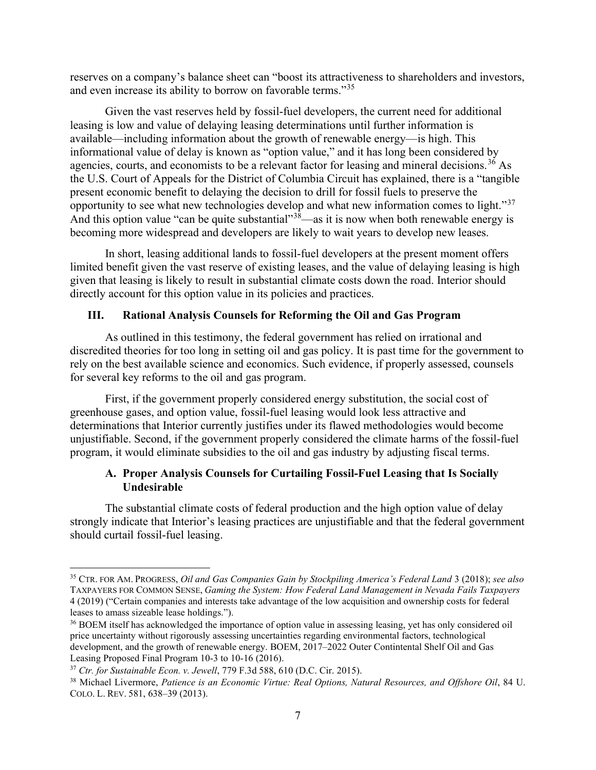reserves on a company's balance sheet can "boost its attractiveness to shareholders and investors, and even increase its ability to borrow on favorable terms."<sup>35</sup>

Given the vast reserves held by fossil-fuel developers, the current need for additional leasing is low and value of delaying leasing determinations until further information is available—including information about the growth of renewable energy—is high. This informational value of delay is known as "option value," and it has long been considered by agencies, courts, and economists to be a relevant factor for leasing and mineral decisions.<sup>36</sup> As the U.S. Court of Appeals for the District of Columbia Circuit has explained, there is a "tangible present economic benefit to delaying the decision to drill for fossil fuels to preserve the opportunity to see what new technologies develop and what new information comes to light."<sup>37</sup> And this option value "can be quite substantial" $3\bar{8}$ —as it is now when both renewable energy is becoming more widespread and developers are likely to wait years to develop new leases.

In short, leasing additional lands to fossil-fuel developers at the present moment offers limited benefit given the vast reserve of existing leases, and the value of delaying leasing is high given that leasing is likely to result in substantial climate costs down the road. Interior should directly account for this option value in its policies and practices.

#### III. Rational Analysis Counsels for Reforming the Oil and Gas Program

As outlined in this testimony, the federal government has relied on irrational and discredited theories for too long in setting oil and gas policy. It is past time for the government to rely on the best available science and economics. Such evidence, if properly assessed, counsels for several key reforms to the oil and gas program.

First, if the government properly considered energy substitution, the social cost of greenhouse gases, and option value, fossil-fuel leasing would look less attractive and determinations that Interior currently justifies under its flawed methodologies would become unjustifiable. Second, if the government properly considered the climate harms of the fossil-fuel program, it would eliminate subsidies to the oil and gas industry by adjusting fiscal terms.

### A. Proper Analysis Counsels for Curtailing Fossil-Fuel Leasing that Is Socially Undesirable

The substantial climate costs of federal production and the high option value of delay strongly indicate that Interior's leasing practices are unjustifiable and that the federal government should curtail fossil-fuel leasing.

<sup>&</sup>lt;sup>35</sup> CTR. FOR AM. PROGRESS, *Oil and Gas Companies Gain by Stockpiling America's Federal Land* 3 (2018); see also TAXPAYERS FOR COMMON SENSE, Gaming the System: How Federal Land Management in Nevada Fails Taxpayers 4 (2019) ("Certain companies and interests take advantage of the low acquisition and ownership costs for federal leases to amass sizeable lease holdings.").

<sup>&</sup>lt;sup>36</sup> BOEM itself has acknowledged the importance of option value in assessing leasing, yet has only considered oil price uncertainty without rigorously assessing uncertainties regarding environmental factors, technological development, and the growth of renewable energy. BOEM, 2017–2022 Outer Contintental Shelf Oil and Gas Leasing Proposed Final Program 10-3 to 10-16 (2016).

 $37$  Ctr. for Sustainable Econ. v. Jewell, 779 F.3d 588, 610 (D.C. Cir. 2015).

<sup>&</sup>lt;sup>38</sup> Michael Livermore, Patience is an Economic Virtue: Real Options, Natural Resources, and Offshore Oil, 84 U. COLO. L. REV. 581, 638–39 (2013).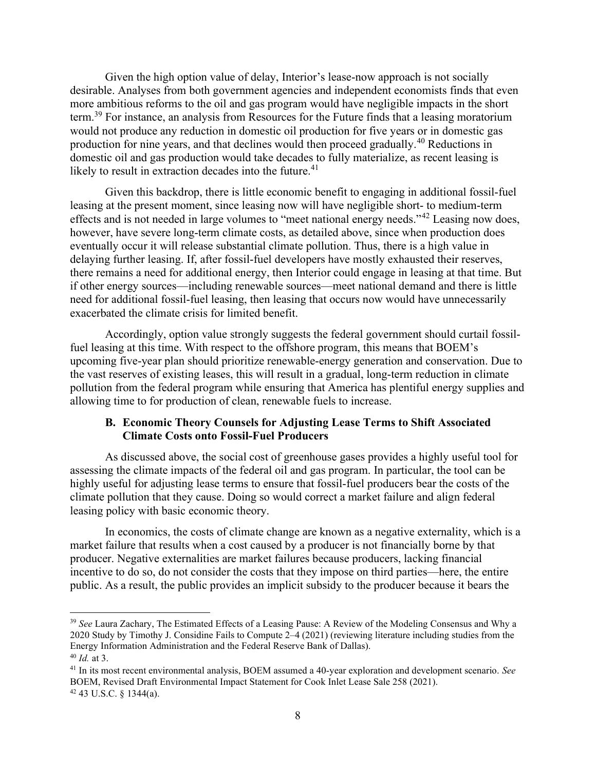Given the high option value of delay, Interior's lease-now approach is not socially desirable. Analyses from both government agencies and independent economists finds that even more ambitious reforms to the oil and gas program would have negligible impacts in the short term.<sup>39</sup> For instance, an analysis from Resources for the Future finds that a leasing moratorium would not produce any reduction in domestic oil production for five years or in domestic gas production for nine years, and that declines would then proceed gradually.<sup>40</sup> Reductions in domestic oil and gas production would take decades to fully materialize, as recent leasing is likely to result in extraction decades into the future.<sup>41</sup>

Given this backdrop, there is little economic benefit to engaging in additional fossil-fuel leasing at the present moment, since leasing now will have negligible short- to medium-term effects and is not needed in large volumes to "meet national energy needs."<sup>42</sup> Leasing now does, however, have severe long-term climate costs, as detailed above, since when production does eventually occur it will release substantial climate pollution. Thus, there is a high value in delaying further leasing. If, after fossil-fuel developers have mostly exhausted their reserves, there remains a need for additional energy, then Interior could engage in leasing at that time. But if other energy sources—including renewable sources—meet national demand and there is little need for additional fossil-fuel leasing, then leasing that occurs now would have unnecessarily exacerbated the climate crisis for limited benefit.

Accordingly, option value strongly suggests the federal government should curtail fossilfuel leasing at this time. With respect to the offshore program, this means that BOEM's upcoming five-year plan should prioritize renewable-energy generation and conservation. Due to the vast reserves of existing leases, this will result in a gradual, long-term reduction in climate pollution from the federal program while ensuring that America has plentiful energy supplies and allowing time to for production of clean, renewable fuels to increase.

### B. Economic Theory Counsels for Adjusting Lease Terms to Shift Associated Climate Costs onto Fossil-Fuel Producers

As discussed above, the social cost of greenhouse gases provides a highly useful tool for assessing the climate impacts of the federal oil and gas program. In particular, the tool can be highly useful for adjusting lease terms to ensure that fossil-fuel producers bear the costs of the climate pollution that they cause. Doing so would correct a market failure and align federal leasing policy with basic economic theory.

In economics, the costs of climate change are known as a negative externality, which is a market failure that results when a cost caused by a producer is not financially borne by that producer. Negative externalities are market failures because producers, lacking financial incentive to do so, do not consider the costs that they impose on third parties—here, the entire public. As a result, the public provides an implicit subsidy to the producer because it bears the

<sup>&</sup>lt;sup>39</sup> See Laura Zachary, The Estimated Effects of a Leasing Pause: A Review of the Modeling Consensus and Why a 2020 Study by Timothy J. Considine Fails to Compute 2–4 (2021) (reviewing literature including studies from the Energy Information Administration and the Federal Reserve Bank of Dallas).  $40$  *Id.* at 3.

 $41$  In its most recent environmental analysis, BOEM assumed a 40-year exploration and development scenario. See BOEM, Revised Draft Environmental Impact Statement for Cook Inlet Lease Sale 258 (2021).  $42$  43 U.S.C. § 1344(a).